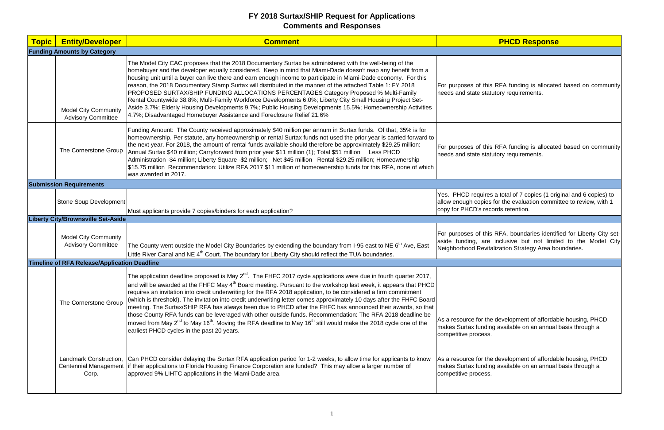| <b>Topic</b> | <b>Entity/Developer</b>                                  | <b>Comment</b>                                                                                                                                                                                                                                                                                                                                                                                                                                                                                                                                                                                                                                                                                                                                                                                                                                                                                                                      |                                                                       |
|--------------|----------------------------------------------------------|-------------------------------------------------------------------------------------------------------------------------------------------------------------------------------------------------------------------------------------------------------------------------------------------------------------------------------------------------------------------------------------------------------------------------------------------------------------------------------------------------------------------------------------------------------------------------------------------------------------------------------------------------------------------------------------------------------------------------------------------------------------------------------------------------------------------------------------------------------------------------------------------------------------------------------------|-----------------------------------------------------------------------|
|              | <b>Funding Amounts by Category</b>                       |                                                                                                                                                                                                                                                                                                                                                                                                                                                                                                                                                                                                                                                                                                                                                                                                                                                                                                                                     |                                                                       |
|              | <b>Model City Community</b><br><b>Advisory Committee</b> | The Model City CAC proposes that the 2018 Documentary Surtax be administered with the well-being of the<br>homebuyer and the developer equally considered. Keep in mind that Miami-Dade doesn't reap any benefit from a<br>housing unit until a buyer can live there and earn enough income to participate in Miami-Dade economy. For this<br>reason, the 2018 Documentary Stamp Surtax will distributed in the manner of the attached Table 1: FY 2018<br>PROPOSED SURTAX/SHIP FUNDING ALLOCATIONS PERCENTAGES Category Proposed % Multi-Family<br>Rental Countywide 38.8%; Multi-Family Workforce Developments 6.0%; Liberty City Small Housing Project Set-<br>Aside 3.7%; Elderly Housing Developments 9.7%; Public Housing Developments 15.5%; Homeownership Activities<br>4.7%; Disadvantaged Homebuyer Assistance and Foreclosure Relief 21.6%                                                                               | For purposes of this<br>needs and state statu                         |
|              | The Cornerstone Group                                    | Funding Amount: The County received approximately \$40 million per annum in Surtax funds. Of that, 35% is for<br>homeownership. Per statute, any homeownership or rental Surtax funds not used the prior year is carried forward to<br>the next year. For 2018, the amount of rental funds available should therefore be approximately \$29.25 million:<br>Annual Surtax \$40 million; Carryforward from prior year \$11 million (1); Total \$51 million<br>Less PHCD<br>Administration -\$4 million; Liberty Square -\$2 million; Net \$45 million Rental \$29.25 million; Homeownership<br>\$15.75 million Recommendation: Utilize RFA 2017 \$11 million of homeownership funds for this RFA, none of which<br>was awarded in 2017.                                                                                                                                                                                               | For purposes of this<br>needs and state statu                         |
|              | <b>Submission Requirements</b>                           |                                                                                                                                                                                                                                                                                                                                                                                                                                                                                                                                                                                                                                                                                                                                                                                                                                                                                                                                     |                                                                       |
|              | Stone Soup Development                                   | Must applicants provide 7 copies/binders for each application?                                                                                                                                                                                                                                                                                                                                                                                                                                                                                                                                                                                                                                                                                                                                                                                                                                                                      | Yes. PHCD requires<br>allow enough copies<br>copy for PHCD's reco     |
|              | <b>Liberty City/Brownsville Set-Aside</b>                |                                                                                                                                                                                                                                                                                                                                                                                                                                                                                                                                                                                                                                                                                                                                                                                                                                                                                                                                     |                                                                       |
|              | <b>Model City Community</b><br><b>Advisory Committee</b> | The County went outside the Model City Boundaries by extending the boundary from I-95 east to NE 6 <sup>th</sup> Ave, East<br>Little River Canal and NE 4 <sup>th</sup> Court. The boundary for Liberty City should reflect the TUA boundaries.                                                                                                                                                                                                                                                                                                                                                                                                                                                                                                                                                                                                                                                                                     | For purposes of this<br>aside funding, are<br>Neighborhood Revita     |
|              | <b>Timeline of RFA Release/Application Deadline</b>      |                                                                                                                                                                                                                                                                                                                                                                                                                                                                                                                                                                                                                                                                                                                                                                                                                                                                                                                                     |                                                                       |
|              | The Cornerstone Group                                    | The application deadline proposed is May $2^{nd}$ . The FHFC 2017 cycle applications were due in fourth quarter 2017,<br>and will be awarded at the FHFC May 4 <sup>th</sup> Board meeting. Pursuant to the workshop last week, it appears that PHCD<br>requires an invitation into credit underwriting for the RFA 2018 application, to be considered a firm commitment<br>(which is threshold). The invitation into credit underwriting letter comes approximately 10 days after the FHFC Board<br>meeting. The Surtax/SHIP RFA has always been due to PHCD after the FHFC has announced their awards, so that<br>those County RFA funds can be leveraged with other outside funds. Recommendation: The RFA 2018 deadline be<br>moved from May 2 <sup>nd</sup> to May 16 <sup>th</sup> . Moving the RFA deadline to May 16 <sup>th</sup> still would make the 2018 cycle one of the<br>earliest PHCD cycles in the past 20 years. | As a resource for the<br>makes Surtax funding<br>competitive process. |
|              | Corp.                                                    | Landmark Construction, Can PHCD consider delaying the Surtax RFA application period for 1-2 weeks, to allow time for applicants to know<br>Centennial Management lif their applications to Florida Housing Finance Corporation are funded? This may allow a larger number of<br>approved 9% LIHTC applications in the Miami-Dade area.                                                                                                                                                                                                                                                                                                                                                                                                                                                                                                                                                                                              | As a resource for the<br>makes Surtax funding<br>competitive process. |

# **PHCD Response**

is RFA funding is allocated based on community atutory requirements.

is RFA funding is allocated based on community atutory requirements.

es a total of 7 copies (1 original and 6 copies) to es for the evaluation committee to review, with 1 cords retention.

his RFA, boundaries identified for Liberty City setre inclusive but not limited to the Model City italization Strategy Area boundaries.

he development of affordable housing, PHCD ing available on an annual basis through a

he development of affordable housing, PHCD ling available on an annual basis through a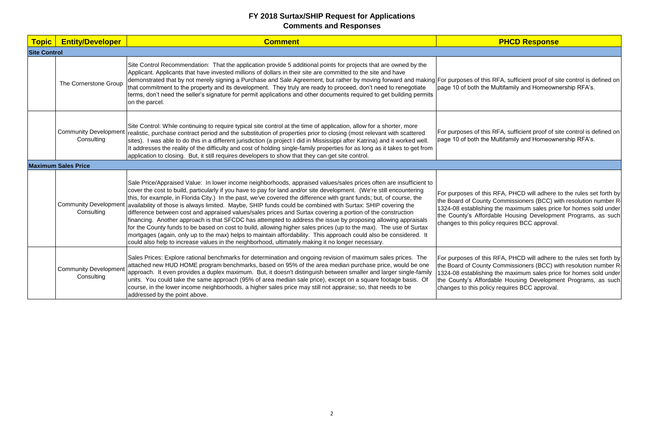| <b>Topic</b>        | <b>Entity/Developer</b>                    | <b>Comment</b>                                                                                                                                                                                                                                                                                                                                                                                                                                                                                                                                                                                                                                                                                                                                                                                                                                                                                                                                                                                                                                                                          |                                                                                                                   |
|---------------------|--------------------------------------------|-----------------------------------------------------------------------------------------------------------------------------------------------------------------------------------------------------------------------------------------------------------------------------------------------------------------------------------------------------------------------------------------------------------------------------------------------------------------------------------------------------------------------------------------------------------------------------------------------------------------------------------------------------------------------------------------------------------------------------------------------------------------------------------------------------------------------------------------------------------------------------------------------------------------------------------------------------------------------------------------------------------------------------------------------------------------------------------------|-------------------------------------------------------------------------------------------------------------------|
| <b>Site Control</b> |                                            |                                                                                                                                                                                                                                                                                                                                                                                                                                                                                                                                                                                                                                                                                                                                                                                                                                                                                                                                                                                                                                                                                         |                                                                                                                   |
|                     | The Cornerstone Group                      | Site Control Recommendation: That the application provide 5 additional points for projects that are owned by the<br>Applicant. Applicants that have invested millions of dollars in their site are committed to the site and have<br>demonstrated that by not merely signing a Purchase and Sale Agreement, but rather by moving forward and making For purposes of this<br>that commitment to the property and its development. They truly are ready to proceed, don't need to renegotiate<br>terms, don't need the seller's signature for permit applications and other documents required to get building permits<br>on the parcel.                                                                                                                                                                                                                                                                                                                                                                                                                                                  | page 10 of both the                                                                                               |
|                     | <b>Community Development</b><br>Consulting | Site Control: While continuing to require typical site control at the time of application, allow for a shorter, more<br>realistic, purchase contract period and the substitution of properties prior to closing (most relevant with scattered<br>sites). I was able to do this in a different jurisdiction (a project I did in Mississippi after Katrina) and it worked well.<br>It addresses the reality of the difficulty and cost of holding single-family properties for as long as it takes to get from<br>application to closing. But, it still requires developers to show that they can get site control.                                                                                                                                                                                                                                                                                                                                                                                                                                                                       | For purposes of this<br>page 10 of both the                                                                       |
|                     | <b>Maximum Sales Price</b>                 |                                                                                                                                                                                                                                                                                                                                                                                                                                                                                                                                                                                                                                                                                                                                                                                                                                                                                                                                                                                                                                                                                         |                                                                                                                   |
|                     | Consulting                                 | Sale Price/Appraised Value: In lower income neighborhoods, appraised values/sales prices often are insufficient to<br>cover the cost to build, particularly if you have to pay for land and/or site development. (We're still encountering<br>this, for example, in Florida City.) In the past, we've covered the difference with grant funds; but, of course, the<br>Community Development availability of those is always limited. Maybe, SHIP funds could be combined with Surtax: SHIP covering the<br>difference between cost and appraised values/sales prices and Surtax covering a portion of the construction<br>financing. Another approach is that SFCDC has attempted to address the issue by proposing allowing appraisals<br>for the County funds to be based on cost to build, allowing higher sales prices (up to the max). The use of Surtax<br>mortgages (again, only up to the max) helps to maintain affordability. This approach could also be considered. It<br>could also help to increase values in the neighborhood, ultimately making it no longer necessary. | For purposes of this<br>the Board of County<br>1324-08 establishin<br>the County's Afford<br>changes to this poli |
|                     | <b>Community Development</b><br>Consulting | Sales Prices: Explore rational benchmarks for determination and ongoing revision of maximum sales prices. The<br>attached new HUD HOME program benchmarks, based on 95% of the area median purchase price, would be one<br>approach. It even provides a duplex maximum. But, it doesn't distinguish between smaller and larger single-family<br>units. You could take the same approach (95% of area median sale price), except on a square footage basis. Of<br>course, in the lower income neighborhoods, a higher sales price may still not appraise; so, that needs to be<br>addressed by the point above.                                                                                                                                                                                                                                                                                                                                                                                                                                                                          | For purposes of this<br>the Board of County<br>1324-08 establishin<br>the County's Afford<br>changes to this poli |

# **PHCD Response**

is RFA, sufficient proof of site control is defined on **Multifamily and Homeownership RFA's.** 

is RFA, sufficient proof of site control is defined on Multifamily and Homeownership RFA's.

iis RFA, PHCD will adhere to the rules set forth by ty Commissioners (BCC) with resolution number R 1324-08 establishing the maximum sales price for homes sold under the County's Affordable Housing Development Programs, as such icy requires BCC approval.

> iis RFA, PHCD will adhere to the rules set forth by ty Commissioners (BCC) with resolution number R-1324 of the maximum sales price for homes sold under dable Housing Development Programs, as such icy requires BCC approval.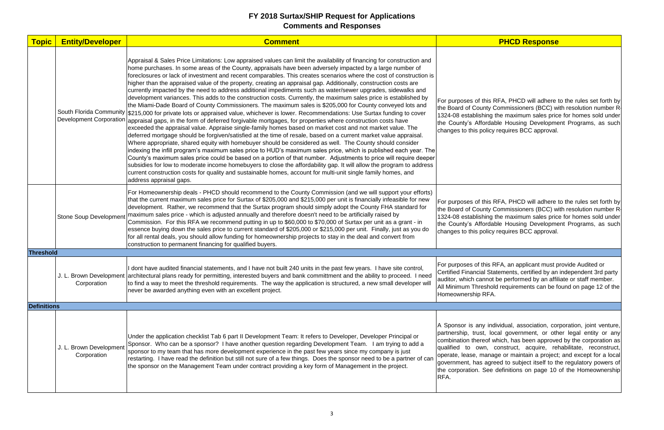| <b>Topic</b>       | <b>Entity/Developer</b>                | <b>Comment</b>                                                                                                                                                                                                                                                                                                                                                                                                                                                                                                                                                                                                                                                                                                                                                                                                                                                                                                                                                                                                                                                                                                                                                                                                                                                                                                                                                                                                                                                                                                                                                                                                                                                                                                                                                                                                                                                                                                                                      |                                                                                                                                                                    |
|--------------------|----------------------------------------|-----------------------------------------------------------------------------------------------------------------------------------------------------------------------------------------------------------------------------------------------------------------------------------------------------------------------------------------------------------------------------------------------------------------------------------------------------------------------------------------------------------------------------------------------------------------------------------------------------------------------------------------------------------------------------------------------------------------------------------------------------------------------------------------------------------------------------------------------------------------------------------------------------------------------------------------------------------------------------------------------------------------------------------------------------------------------------------------------------------------------------------------------------------------------------------------------------------------------------------------------------------------------------------------------------------------------------------------------------------------------------------------------------------------------------------------------------------------------------------------------------------------------------------------------------------------------------------------------------------------------------------------------------------------------------------------------------------------------------------------------------------------------------------------------------------------------------------------------------------------------------------------------------------------------------------------------------|--------------------------------------------------------------------------------------------------------------------------------------------------------------------|
|                    | <b>Development Corporation</b>         | Appraisal & Sales Price Limitations: Low appraised values can limit the availability of financing for construction and<br>home purchases. In some areas of the County, appraisals have been adversely impacted by a large number of<br>foreclosures or lack of investment and recent comparables. This creates scenarios where the cost of construction is<br>higher than the appraised value of the property, creating an appraisal gap. Additionally, construction costs are<br>currently impacted by the need to address additional impediments such as water/sewer upgrades, sidewalks and<br>development variances. This adds to the construction costs. Currently, the maximum sales price is established by<br>the Miami-Dade Board of County Commissioners. The maximum sales is \$205,000 for County conveyed lots and<br>South Florida Community \$215,000 for private lots or appraised value, whichever is lower. Recommendations: Use Surtax funding to cover<br>appraisal gaps, in the form of deferred forgivable mortgages, for properties where construction costs have<br>exceeded the appraisal value. Appraise single-family homes based on market cost and not market value. The<br>deferred mortgage should be forgiven/satisfied at the time of resale, based on a current market value appraisal.<br>Where appropriate, shared equity with homebuyer should be considered as well. The County should consider<br>indexing the infill program's maximum sales price to HUD's maximum sales price, which is published each year. The<br>County's maximum sales price could be based on a portion of that number. Adjustments to price will require deeper<br>subsidies for low to moderate income homebuyers to close the affordability gap. It will allow the program to address<br>current construction costs for quality and sustainable homes, account for multi-unit single family homes, and<br>address appraisal gaps. | For purposes of this<br>the Board of County<br>1324-08 establishin<br>the County's Afford<br>changes to this polio                                                 |
|                    | <b>Stone Soup Development</b>          | For Homeownership deals - PHCD should recommend to the County Commission (and we will support your efforts)<br>that the current maximum sales price for Surtax of \$205,000 and \$215,000 per unit is financially infeasible for new<br>development. Rather, we recommend that the Surtax program should simply adopt the County FHA standard for<br>maximum sales price - which is adjusted annually and therefore doesn't need to be artificially raised by<br>Commission. For this RFA we recommend putting in up to \$60,000 to \$70,000 of Surtax per unit as a grant - in<br>essence buying down the sales price to current standard of \$205,000 or \$215,000 per unit. Finally, just as you do<br>for all rental deals, you should allow funding for homeownership projects to stay in the deal and convert from<br>construction to permanent financing for qualified buyers.                                                                                                                                                                                                                                                                                                                                                                                                                                                                                                                                                                                                                                                                                                                                                                                                                                                                                                                                                                                                                                                               | For purposes of this<br>the Board of County<br>1324-08 establishin<br>the County's Afford<br>changes to this polid                                                 |
| <b>Threshold</b>   |                                        |                                                                                                                                                                                                                                                                                                                                                                                                                                                                                                                                                                                                                                                                                                                                                                                                                                                                                                                                                                                                                                                                                                                                                                                                                                                                                                                                                                                                                                                                                                                                                                                                                                                                                                                                                                                                                                                                                                                                                     |                                                                                                                                                                    |
|                    | Corporation                            | dont have audited financial statements, and I have not built 240 units in the past few years. I have site control,<br>J. L. Brown Development architectural plans ready for permitting, interested buyers and bank committment and the ability to proceed. I need<br>to find a way to meet the threshold requirements. The way the application is structured, a new small developer will<br>never be awarded anything even with an excellent project.                                                                                                                                                                                                                                                                                                                                                                                                                                                                                                                                                                                                                                                                                                                                                                                                                                                                                                                                                                                                                                                                                                                                                                                                                                                                                                                                                                                                                                                                                               | For purposes of this<br><b>Certified Financial S</b><br>auditor, which canne<br><b>All Minimum Thresh</b><br>Homeownership RF                                      |
| <b>Definitions</b> |                                        |                                                                                                                                                                                                                                                                                                                                                                                                                                                                                                                                                                                                                                                                                                                                                                                                                                                                                                                                                                                                                                                                                                                                                                                                                                                                                                                                                                                                                                                                                                                                                                                                                                                                                                                                                                                                                                                                                                                                                     |                                                                                                                                                                    |
|                    | J. L. Brown Development<br>Corporation | Under the application checklist Tab 6 part II Development Team: It refers to Developer, Developer Principal or<br>Sponsor. Who can be a sponsor? I have another question regarding Development Team. I am trying to add a<br>sponsor to my team that has more development experience in the past few years since my company is just<br>restarting. I have read the definition but still not sure of a few things. Does the sponsor need to be a partner of can<br>the sponsor on the Management Team under contract providing a key form of Management in the project.                                                                                                                                                                                                                                                                                                                                                                                                                                                                                                                                                                                                                                                                                                                                                                                                                                                                                                                                                                                                                                                                                                                                                                                                                                                                                                                                                                              | A Sponsor is any in<br>partnership, trust,<br>combination thereof<br>qualified to own,<br>operate, lease, mar<br>government, has ag<br>the corporation. Se<br>RFA. |

### **PHCD Response**

s RFA, PHCD will adhere to the rules set forth by y Commissioners (BCC) with resolution number R 1924 the maximum sales price for homes sold under dable Housing Development Programs, as such icy requires BCC approval.

s RFA, PHCD will adhere to the rules set forth by y Commissioners (BCC) with resolution number R 1324 ing the maximum sales price for homes sold under dable Housing Development Programs, as such icy requires BCC approval.

RFA, an applicant must provide Audited or Statements, certified by an independent 3rd party not be performed by an affiliate or staff member. hold requirements can be found on page 12 of the FA.

individual, association, corporation, joint venture, local government, or other legal entity or any which, has been approved by the corporation as construct, acquire, rehabilitate, reconstruct, nage or maintain a project; and except for a local greed to subject itself to the regulatory powers of ee definitions on page 10 of the Homeownership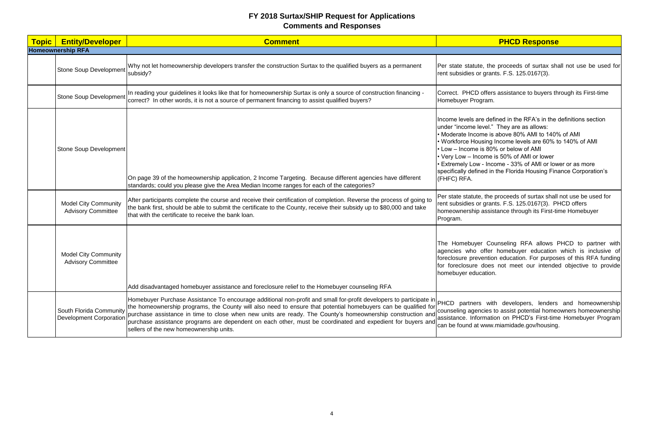| <b>Topic</b> | <b>Entity/Developer</b>                                   | <b>Comment</b>                                                                                                                                                                                                                                                                                                                                                                                                                                                                                                              |                                                                                                                                                                                                                   |
|--------------|-----------------------------------------------------------|-----------------------------------------------------------------------------------------------------------------------------------------------------------------------------------------------------------------------------------------------------------------------------------------------------------------------------------------------------------------------------------------------------------------------------------------------------------------------------------------------------------------------------|-------------------------------------------------------------------------------------------------------------------------------------------------------------------------------------------------------------------|
|              | <b>Homeownership RFA</b>                                  |                                                                                                                                                                                                                                                                                                                                                                                                                                                                                                                             |                                                                                                                                                                                                                   |
|              | <b>Stone Soup Development</b>                             | Why not let homeownership developers transfer the construction Surtax to the qualified buyers as a permanent<br>subsidy?                                                                                                                                                                                                                                                                                                                                                                                                    | Per state statute, tl<br>rent subsidies or gra                                                                                                                                                                    |
|              | <b>Stone Soup Development</b>                             | In reading your guidelines it looks like that for homeownership Surtax is only a source of construction financing -<br>correct? In other words, it is not a source of permanent financing to assist qualified buyers?                                                                                                                                                                                                                                                                                                       | Correct. PHCD offe<br>Homebuyer Prograr                                                                                                                                                                           |
|              | <b>Stone Soup Development</b>                             | On page 39 of the homeownership application, 2 Income Targeting. Because different agencies have different<br>standards; could you please give the Area Median Income ranges for each of the categories?                                                                                                                                                                                                                                                                                                                    | Income levels are d<br>under "income level<br>· Moderate Income<br><b>Workforce Housin</b><br>$\cdot$ Low – Income is 8<br>• Very Low - Incom<br><b>Extremely Low - In</b><br>specifically defined<br>(FHFC) RFA. |
|              | <b>Model City Community</b><br><b>Advisory Committee</b>  | After participants complete the course and receive their certification of completion. Reverse the process of going to<br>the bank first, should be able to submit the certificate to the County, receive their subsidy up to \$80,000 and take<br>Ithat with the certificate to receive the bank loan.                                                                                                                                                                                                                      | Per state statute, th<br>rent subsidies or gra<br>homeownership ass<br>Program.                                                                                                                                   |
|              | <b>Model City Community</b><br><b>Advisory Committee</b>  | Add disadvantaged homebuyer assistance and foreclosure relief to the Homebuyer counseling RFA                                                                                                                                                                                                                                                                                                                                                                                                                               | The Homebuyer C<br>agencies who offe<br>foreclosure prevent<br>for foreclosure doe<br>homebuyer educatio                                                                                                          |
|              | South Florida Community<br><b>Development Corporation</b> | Homebuyer Purchase Assistance To encourage additional non-profit and small for-profit developers to participate in PHCD partners w<br>the homeownership programs, the County will also need to ensure that potential homebuyers can be qualified for<br>purchase assistance in time to close when new units are ready. The County's homeownership construction and<br>purchase assistance programs are dependent on each other, must be coordinated and expedient for buyers and<br>sellers of the new homeownership units. | counseling agencies<br>assistance. Informa<br>can be found at ww                                                                                                                                                  |

### **PHCD Response**

the proceeds of surtax shall not use be used for rants. F.S. 125.0167(3).

ers assistance to buyers through its First-time m.

Iefined in the RFA's in the definitions section I." They are as allows: is above 80% AMI to 140% of AMI g Income levels are 60% to 140% of AMI 80% or below of AMI e is 50% of AMI or lower ncome - 33% of AMI or lower or as more in the Florida Housing Finance Corporation's

ne proceeds of surtax shall not use be used for rants. F.S. 125.0167(3). PHCD offers sistance through its First-time Homebuyer

Counseling RFA allows PHCD to partner with er homebuyer education which is inclusive of tion education. For purposes of this RFA funding es not meet our intended objective to provide on.

with developers, lenders and homeownership es to assist potential homeowners homeownership ation on PHCD's First-time Homebuyer Program w.miamidade.gov/housing.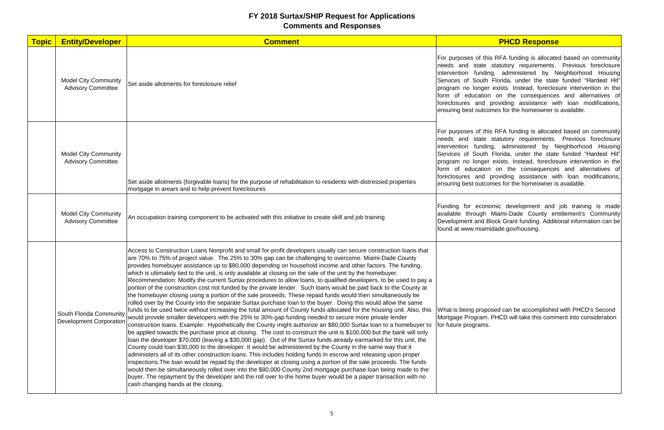| <b>Topic</b> | <b>Entity/Developer</b>                                   | <b>Comment</b>                                                                                                                                                                                                                                                                                                                                                                                                                                                                                                                                                                                                                                                                                                                                                                                                                                                                                                                                                                                                                                                                                                                                                                                                                                                                                                                                                                                                                                                                                                                                                                                                                                                                                                                                                                                                                                                                                                                                                                                                                                                                                                                                                            |                                                                                                                                                                          |
|--------------|-----------------------------------------------------------|---------------------------------------------------------------------------------------------------------------------------------------------------------------------------------------------------------------------------------------------------------------------------------------------------------------------------------------------------------------------------------------------------------------------------------------------------------------------------------------------------------------------------------------------------------------------------------------------------------------------------------------------------------------------------------------------------------------------------------------------------------------------------------------------------------------------------------------------------------------------------------------------------------------------------------------------------------------------------------------------------------------------------------------------------------------------------------------------------------------------------------------------------------------------------------------------------------------------------------------------------------------------------------------------------------------------------------------------------------------------------------------------------------------------------------------------------------------------------------------------------------------------------------------------------------------------------------------------------------------------------------------------------------------------------------------------------------------------------------------------------------------------------------------------------------------------------------------------------------------------------------------------------------------------------------------------------------------------------------------------------------------------------------------------------------------------------------------------------------------------------------------------------------------------------|--------------------------------------------------------------------------------------------------------------------------------------------------------------------------|
|              | <b>Model City Community</b><br><b>Advisory Committee</b>  | Set aside allotments for foreclosure relief                                                                                                                                                                                                                                                                                                                                                                                                                                                                                                                                                                                                                                                                                                                                                                                                                                                                                                                                                                                                                                                                                                                                                                                                                                                                                                                                                                                                                                                                                                                                                                                                                                                                                                                                                                                                                                                                                                                                                                                                                                                                                                                               | For purposes of this<br>needs and state<br>intervention fundin<br>Services of South<br>program no longer<br>form of education<br>foreclosures and<br>ensuring best outco |
|              | <b>Model City Community</b><br><b>Advisory Committee</b>  | Set aside allotments (forgivable loans) for the purpose of rehabilitation to residents with distressed properties<br>mortgage in arears and to help prevent foreclosures                                                                                                                                                                                                                                                                                                                                                                                                                                                                                                                                                                                                                                                                                                                                                                                                                                                                                                                                                                                                                                                                                                                                                                                                                                                                                                                                                                                                                                                                                                                                                                                                                                                                                                                                                                                                                                                                                                                                                                                                  | For purposes of this<br>needs and state<br>intervention fundin<br>Services of South<br>program no longer<br>form of education<br>foreclosures and<br>ensuring best outco |
|              | <b>Model City Community</b><br><b>Advisory Committee</b>  | An occupation training component to be activated with this initiative to create skill and job training                                                                                                                                                                                                                                                                                                                                                                                                                                                                                                                                                                                                                                                                                                                                                                                                                                                                                                                                                                                                                                                                                                                                                                                                                                                                                                                                                                                                                                                                                                                                                                                                                                                                                                                                                                                                                                                                                                                                                                                                                                                                    | Funding for econd<br>available through<br>Development and B<br>found at www.miam                                                                                         |
|              | South Florida Community<br><b>Development Corporation</b> | Access to Construction Loans Nonprofit and small for-profit developers usually can secure construction loans that<br>are 70% to 75% of project value. The 25% to 30% gap can be challenging to overcome. Miami-Dade County<br>provides homebuyer assistance up to \$80,000 depending on household income and other factors. The funding,<br>which is ultimately tied to the unit, is only available at closing on the sale of the unit by the homebuyer.<br>Recommendation: Modify the current Surtax procedures to allow loans, to qualified developers, to be used to pay a<br>portion of the construction cost not funded by the private lender. Such loans would be paid back to the County at<br>the homebuyer closing using a portion of the sale proceeds. These repaid funds would then simultaneously be<br>rolled over by the County into the separate Surtax purchase loan to the buyer. Doing this would allow the same<br>funds to be used twice without increasing the total amount of County funds allocated for the housing unit. Also, this<br>would provide smaller developers with the 25% to 30% gap funding needed to secure more private lender<br>construction loans. Example: Hypothetically the County might authorize an \$80,000 Surtax loan to a homebuyer to<br>be applied towards the purchase price at closing. The cost to construct the unit is \$100,000 but the bank will only<br>loan the developer \$70,000 (leaving a \$30,000 gap). Out of the Surtax funds already earmarked for this unit, the<br>County could loan \$30,000 to the developer. It would be administered by the County in the same way that it<br>administers all of its other construction loans. This includes holding funds in escrow and releasing upon proper<br>Inspections.The loan would be repaid by the developer at closing using a portion of the sale proceeds. The funds<br>would then be simultaneously rolled over into the \$80,000 County 2nd mortgage purchase loan being made to the<br>buyer. The repayment by the developer and the roll over to the home buyer would be a paper transaction with no<br>cash changing hands at the closing. | What is being propo<br>Mortgage Program.<br>for future programs.                                                                                                         |

#### **PHCD Response**

is RFA funding is allocated based on community statutory requirements. Previous foreclosure ng, administered by Neighborhood Housing Florida, under the state funded "Hardest Hit" exists. Instead, foreclosure intervention in the on on the consequences and alternatives of providing assistance with loan modifications, omes for the homeowner is available.

is RFA funding is allocated based on community statutory requirements. Previous foreclosure ing, administered by Neighborhood Housing Florida, under the state funded "Hardest Hit" exists. Instead, foreclosure intervention in the on on the consequences and alternatives of providing assistance with loan modifications, omes for the homeowner is available.

nomic development and job training is made Miami-Dade County entitlement's Community Block Grant funding. Additional information can be nidade.gov/housing.

osed can be accomplished with PHCD's Second . PHCD will take this comment into consideration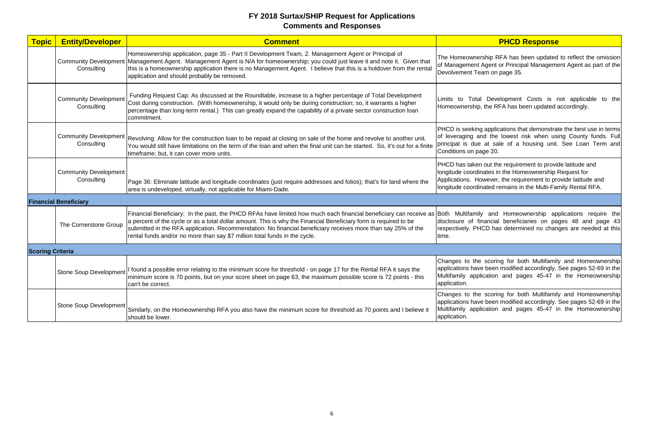| <b>Topic</b>            | <b>Entity/Developer</b>                    | <b>Comment</b>                                                                                                                                                                                                                                                                                                                                                                                                                      |                                                                                         |
|-------------------------|--------------------------------------------|-------------------------------------------------------------------------------------------------------------------------------------------------------------------------------------------------------------------------------------------------------------------------------------------------------------------------------------------------------------------------------------------------------------------------------------|-----------------------------------------------------------------------------------------|
|                         | Consulting                                 | Homeownership application, page 35 - Part II Development Team, 2. Management Agent or Principal of<br>Community Development Management Agent. Management Agent is N/A for homeownership; you could just leave it and note it. Given that<br>this is a homeownership application there is no Management Agent. I believe that this is a holdover from the rental<br>application and should probably be removed.                      | The Homeownershi<br>of Management Ag<br><b>Devolvement Team</b>                         |
|                         | <b>Community Development</b><br>Consulting | Funding Request Cap: As discussed at the Roundtable, increase to a higher percentage of Total Development<br>Cost during construction. (With homeownership, it would only be during construction; so, it warrants a higher<br>percentage than long-term rental.) This can greatly expand the capability of a private sector construction loan<br>commitment.                                                                        | Limits to Total D<br>Homeownership, th                                                  |
|                         | <b>Community Development</b><br>Consulting | Revolving: Allow for the construction loan to be repaid at closing on sale of the home and revolve to another unit.<br>You would still have limitations on the term of the loan and when the final unit can be started. So, it's out for a finite<br>timeframe; but, it can cover more units.                                                                                                                                       | PHCD is seeking ap<br>of leveraging and<br>principal is due at<br>Conditions on page    |
|                         | <b>Community Development</b><br>Consulting | Page 36: Eliminate latitude and longitude coordinates (just require addresses and folios); that's for land where the<br>area is undeveloped, virtually, not applicable for Miami-Dade.                                                                                                                                                                                                                                              | PHCD has taken ou<br>longitude coordinate<br>Applications. Howe<br>longitude coordinate |
|                         | <b>Financial Beneficiary</b>               |                                                                                                                                                                                                                                                                                                                                                                                                                                     |                                                                                         |
|                         | The Cornerstone Group                      | Financial Beneficiary: In the past, the PHCD RFAs have limited how much each financial beneficiary can receive as<br>a percent of the cycle or as a total dollar amount. This is why the Financial Beneficiary form is required to be<br>submitted in the RFA application. Recommendation: No financial beneficiary receives more than say 25% of the<br>rental funds and/or no more than say \$7 million total funds in the cycle. | Both Multifamily<br>disclosure of finar<br>respectively. PHCD<br>ltime.                 |
| <b>Scoring Criteria</b> |                                            |                                                                                                                                                                                                                                                                                                                                                                                                                                     |                                                                                         |
|                         |                                            | Stone Soup Development <sup>I found</sup> a possible error relating to the minimum score for threshold - on page 17 for the Rental RFA it says the<br>minimum score is 70 points, but on your score sheet on page 63, the maximum possible score is 72 points - this<br>can't be correct.                                                                                                                                           | Changes to the so<br>applications have b<br>Multifamily applica<br>application.         |
|                         | <b>Stone Soup Development</b>              | Similarly, on the Homeownership RFA you also have the minimum score for threshold as 70 points and I believe it<br>should be lower.                                                                                                                                                                                                                                                                                                 | Changes to the so<br>applications have b<br>Multifamily applica<br>application.         |

# **PHCD Response**

ip RFA has been updated to reflect the omission jent or Principal Management Agent as part of the on page 35.

Development Costs is not applicable to the he RFA has been updated accordingly.

pplications that demonstrate the best use in terms the lowest risk when using County funds. Full sale of a housing unit. See Loan Term and  $20.$ 

ut the requirement to provide latitude and les in the Homeownership Request for ever, the requirement to provide latitude and ed remains in the Multi-Family Rental RFA.

and Homeownership applications require the ncial beneficiaries on pages 48 and page 43 has determined no changes are needed at this

coring for both Multifamily and Homeownership een modified accordingly. See pages 52-69 in the tion and pages 45-47 in the Homeownership

coring for both Multifamily and Homeownership een modified accordingly. See pages 52-69 in the tion and pages 45-47 in the Homeownership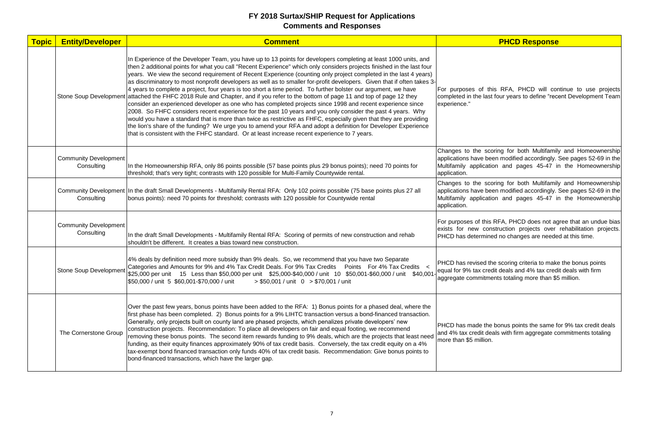| <b>Topic</b> | <b>Entity/Developer</b>                    | <b>Comment</b>                                                                                                                                                                                                                                                                                                                                                                                                                                                                                                                                                                                                                                                                                                                                                                                                                                                                                                                                                                                                                                                                                                                                                                                                                                                                                   |                                                                                 |
|--------------|--------------------------------------------|--------------------------------------------------------------------------------------------------------------------------------------------------------------------------------------------------------------------------------------------------------------------------------------------------------------------------------------------------------------------------------------------------------------------------------------------------------------------------------------------------------------------------------------------------------------------------------------------------------------------------------------------------------------------------------------------------------------------------------------------------------------------------------------------------------------------------------------------------------------------------------------------------------------------------------------------------------------------------------------------------------------------------------------------------------------------------------------------------------------------------------------------------------------------------------------------------------------------------------------------------------------------------------------------------|---------------------------------------------------------------------------------|
|              | Stone Soup Development                     | In Experience of the Developer Team, you have up to 13 points for developers completing at least 1000 units, and<br>then 2 additional points for what you call "Recent Experience" which only considers projects finished in the last four<br>years. We view the second requirement of Recent Experience (counting only project completed in the last 4 years)<br>as discriminatory to most nonprofit developers as well as to smaller for-profit developers. Given that if often takes 3-<br>4 years to complete a project, four years is too short a time period. To further bolster our argument, we have<br>attached the FHFC 2018 Rule and Chapter, and if you refer to the bottom of page 11 and top of page 12 they<br>consider an experienced developer as one who has completed projects since 1998 and recent experience since<br>2008. So FHFC considers recent experience for the past 10 years and you only consider the past 4 years. Why<br>would you have a standard that is more than twice as restrictive as FHFC, especially given that they are providing<br>the lion's share of the funding? We urge you to amend your RFA and adopt a definition for Developer Experience<br>that is consistent with the FHFC standard. Or at least increase recent experience to 7 years. | For purposes of t<br>completed in the las<br>experience."                       |
|              | <b>Community Development</b><br>Consulting | In the Homeownership RFA, only 86 points possible (57 base points plus 29 bonus points); need 70 points for<br>threshold; that's very tight; contrasts with 120 possible for Multi-Family Countywide rental.                                                                                                                                                                                                                                                                                                                                                                                                                                                                                                                                                                                                                                                                                                                                                                                                                                                                                                                                                                                                                                                                                     | Changes to the so<br>applications have b<br>Multifamily applica<br>application. |
|              | Consulting                                 | Community Development In the draft Small Developments - Multifamily Rental RFA: Only 102 points possible (75 base points plus 27 all<br>bonus points): need 70 points for threshold; contrasts with 120 possible for Countywide rental                                                                                                                                                                                                                                                                                                                                                                                                                                                                                                                                                                                                                                                                                                                                                                                                                                                                                                                                                                                                                                                           | Changes to the so<br>applications have b<br>Multifamily applica<br>application. |
|              | <b>Community Development</b><br>Consulting | In the draft Small Developments - Multifamily Rental RFA: Scoring of permits of new construction and rehab<br>shouldn't be different. It creates a bias toward new construction.                                                                                                                                                                                                                                                                                                                                                                                                                                                                                                                                                                                                                                                                                                                                                                                                                                                                                                                                                                                                                                                                                                                 | For purposes of this<br>exists for new co<br>PHCD has determin                  |
|              | <b>Stone Soup Development</b>              | 4% deals by definition need more subsidy than 9% deals. So, we recommend that you have two Separate<br>Categories and Amounts for 9% and 4% Tax Credit Deals. For 9% Tax Credits Points For 4% Tax Credits <<br>\$25,000 per unit 15 Less than \$50,000 per unit \$25,000-\$40,000 / unit 10 \$50,001-\$60,000 / unit \$40,001-<br>\$50,000 / unit 5 \$60,001-\$70,000 / unit<br>$> $50,001 /$ unit 0 $> $70,001 /$ unit                                                                                                                                                                                                                                                                                                                                                                                                                                                                                                                                                                                                                                                                                                                                                                                                                                                                         | <b>PHCD has revised</b><br>equal for 9% tax cre<br>aggregate commitm            |
|              | The Cornerstone Group                      | Over the past few years, bonus points have been added to the RFA: 1) Bonus points for a phased deal, where the<br>first phase has been completed. 2) Bonus points for a 9% LIHTC transaction versus a bond-financed transaction.<br>Generally, only projects built on county land are phased projects, which penalizes private developers' new<br>construction projects. Recommendation: To place all developers on fair and equal footing, we recommend<br>removing these bonus points. The second item rewards funding to 9% deals, which are the projects that least need<br>funding, as their equity finances approximately 90% of tax credit basis. Conversely, the tax credit equity on a 4%<br>tax-exempt bond financed transaction only funds 40% of tax credit basis. Recommendation: Give bonus points to<br>bond-financed transactions, which have the larger gap.                                                                                                                                                                                                                                                                                                                                                                                                                    | <b>PHCD</b> has made th<br>and 4% tax credit d<br>more than \$5 millior         |

**PHCD Response** 

this RFA, PHCD will continue to use projects ast four years to define "recent Development Team

coring for both Multifamily and Homeownership een modified accordingly. See pages 52-69 in the tion and pages 45-47 in the Homeownership

coring for both Multifamily and Homeownership een modified accordingly. See pages 52-69 in the tion and pages 45-47 in the Homeownership

iis RFA, PHCD does not agree that an undue bias onstruction projects over rehabilitation projects. ned no changes are needed at this time.

the scoring criteria to make the bonus points edit deals and 4% tax credit deals with firm nents totaling more than \$5 million.

he bonus points the same for 9% tax credit deals deals with firm aggregate commitments totaling on.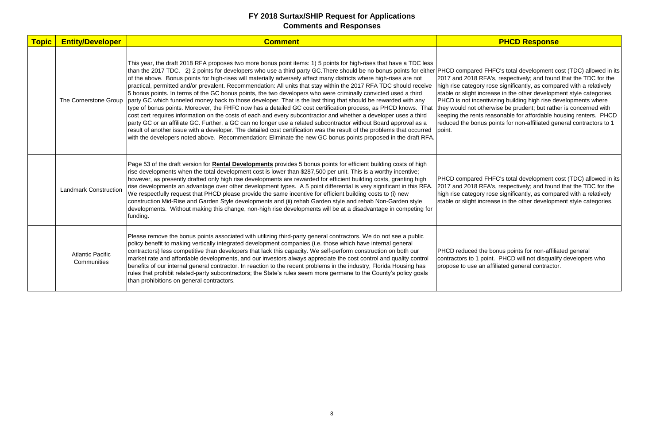| <b>Topic</b> | <b>Entity/Developer</b>                | <b>Comment</b>                                                                                                                                                                                                                                                                                                                                                                                                                                                                                                                                                                                                                                                                                                                                                                                                                                                                                                                                                                                                                                                                                                                                                                                                                                                                                                                               |                                                                                                                                                                         |
|--------------|----------------------------------------|----------------------------------------------------------------------------------------------------------------------------------------------------------------------------------------------------------------------------------------------------------------------------------------------------------------------------------------------------------------------------------------------------------------------------------------------------------------------------------------------------------------------------------------------------------------------------------------------------------------------------------------------------------------------------------------------------------------------------------------------------------------------------------------------------------------------------------------------------------------------------------------------------------------------------------------------------------------------------------------------------------------------------------------------------------------------------------------------------------------------------------------------------------------------------------------------------------------------------------------------------------------------------------------------------------------------------------------------|-------------------------------------------------------------------------------------------------------------------------------------------------------------------------|
|              | The Cornerstone Group                  | This year, the draft 2018 RFA proposes two more bonus point items: 1) 5 points for high-rises that have a TDC less<br>than the 2017 TDC. 2) 2 points for developers who use a third party GC. There should be no bonus points for either PHCD compared F<br>of the above. Bonus points for high-rises will materially adversely affect many districts where high-rises are not<br>practical, permitted and/or prevalent. Recommendation: All units that stay within the 2017 RFA TDC should receive<br>5 bonus points. In terms of the GC bonus points, the two developers who were criminally convicted used a third<br>party GC which funneled money back to those developer. That is the last thing that should be rewarded with any<br>type of bonus points. Moreover, the FHFC now has a detailed GC cost certification process, as PHCD knows. That<br>cost cert requires information on the costs of each and every subcontractor and whether a developer uses a third<br>party GC or an affiliate GC. Further, a GC can no longer use a related subcontractor without Board approval as a<br>result of another issue with a developer. The detailed cost certification was the result of the problems that occurred<br>with the developers noted above. Recommendation: Eliminate the new GC bonus points proposed in the draft RFA. | 2017 and 2018 RF/<br>high rise category r<br>stable or slight incre<br>PHCD is not incent<br>they would not othe<br>keeping the rents re<br>reduced the bonus<br>point. |
|              | <b>Landmark Construction</b>           | Page 53 of the draft version for Rental Developments provides 5 bonus points for efficient building costs of high<br>rise developments when the total development cost is lower than \$287,500 per unit. This is a worthy incentive;<br>however, as presently drafted only high rise developments are rewarded for efficient building costs, granting high<br>rise developments an advantage over other development types. A 5 point differential is very significant in this RFA.<br>We respectfully request that PHCD please provide the same incentive for efficient building costs to (i) new<br>construction Mid-Rise and Garden Style developments and (ii) rehab Garden style and rehab Non-Garden style<br>developments. Without making this change, non-high rise developments will be at a disadvantage in competing for<br>funding.                                                                                                                                                                                                                                                                                                                                                                                                                                                                                               | <b>PHCD</b> compared F<br>2017 and 2018 RF/<br>high rise category r<br>stable or slight incre                                                                           |
|              | <b>Atlantic Pacific</b><br>Communities | Please remove the bonus points associated with utilizing third-party general contractors. We do not see a public<br>policy benefit to making vertically integrated development companies (i.e. those which have internal general<br>contractors) less competitive than developers that lack this capacity. We self-perform construction on both our<br>market rate and affordable developments, and our investors always appreciate the cost control and quality control<br>benefits of our internal general contractor. In reaction to the recent problems in the industry, Florida Housing has<br>rules that prohibit related-party subcontractors; the State's rules seem more germane to the County's policy goals<br>than prohibitions on general contractors.                                                                                                                                                                                                                                                                                                                                                                                                                                                                                                                                                                          | <b>PHCD</b> reduced the<br>contractors to 1 poi<br>propose to use an a                                                                                                  |

### **PHCD Response**

HFC's total development cost (TDC) allowed in its A's, respectively; and found that the TDC for the rose significantly, as compared with a relatively rease in the other development style categories. ivizing building high rise developments where erwise be prudent; but rather is concerned with reasonable for affordable housing renters. PHCD points for non-affiliated general contractors to 1

FHFC's total development cost (TDC) allowed in its A's, respectively; and found that the TDC for the rose significantly, as compared with a relatively rease in the other development style categories.

bonus points for non-affiliated general vint. PHCD will not disqualify developers who affiliated general contractor.